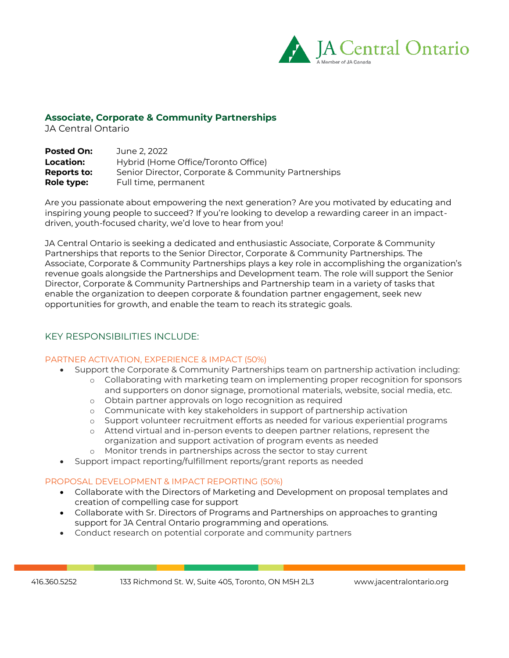

## **Associate, Corporate & Community Partnerships**

JA Central Ontario

| <b>Posted On:</b> | June 2. 2022                                        |
|-------------------|-----------------------------------------------------|
| Location:         | Hybrid (Home Office/Toronto Office)                 |
| Reports to:       | Senior Director, Corporate & Community Partnerships |
| Role type:        | Full time, permanent                                |

Are you passionate about empowering the next generation? Are you motivated by educating and inspiring young people to succeed? If you're looking to develop a rewarding career in an impactdriven, youth-focused charity, we'd love to hear from you!

JA Central Ontario is seeking a dedicated and enthusiastic Associate, Corporate & Community Partnerships that reports to the Senior Director, Corporate & Community Partnerships. The Associate, Corporate & Community Partnerships plays a key role in accomplishing the organization's revenue goals alongside the Partnerships and Development team. The role will support the Senior Director, Corporate & Community Partnerships and Partnership team in a variety of tasks that enable the organization to deepen corporate & foundation partner engagement, seek new opportunities for growth, and enable the team to reach its strategic goals.

## KEY RESPONSIBILITIES INCLUDE:

## PARTNER ACTIVATION, EXPERIENCE & IMPACT (50%)

- Support the Corporate & Community Partnerships team on partnership activation including:
	- o Collaborating with marketing team on implementing proper recognition for sponsors and supporters on donor signage, promotional materials, website, social media, etc.
	- o Obtain partner approvals on logo recognition as required
	- o Communicate with key stakeholders in support of partnership activation
	- o Support volunteer recruitment efforts as needed for various experiential programs
	- o Attend virtual and in-person events to deepen partner relations, represent the organization and support activation of program events as needed
	- o Monitor trends in partnerships across the sector to stay current
- Support impact reporting/fulfillment reports/grant reports as needed

## PROPOSAL DEVELOPMENT & IMPACT REPORTING (50%)

- Collaborate with the Directors of Marketing and Development on proposal templates and creation of compelling case for support
- Collaborate with Sr. Directors of Programs and Partnerships on approaches to granting support for JA Central Ontario programming and operations.
- Conduct research on potential corporate and community partners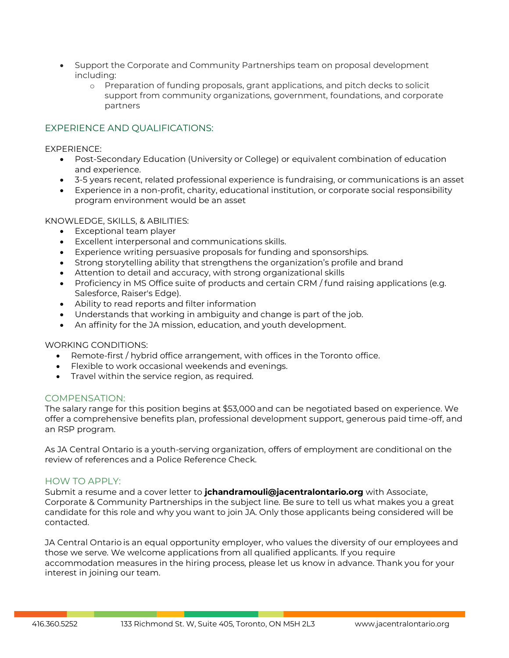- Support the Corporate and Community Partnerships team on proposal development including:
	- o Preparation of funding proposals, grant applications, and pitch decks to solicit support from community organizations, government, foundations, and corporate partners

# EXPERIENCE AND QUALIFICATIONS:

EXPERIENCE:

- Post-Secondary Education (University or College) or equivalent combination of education and experience.
- 3-5 years recent, related professional experience is fundraising, or communications is an asset
- Experience in a non-profit, charity, educational institution, or corporate social responsibility program environment would be an asset

#### KNOWLEDGE, SKILLS, & ABILITIES:

- Exceptional team player
- Excellent interpersonal and communications skills.
- Experience writing persuasive proposals for funding and sponsorships.
- Strong storytelling ability that strengthens the organization's profile and brand
- Attention to detail and accuracy, with strong organizational skills
- Proficiency in MS Office suite of products and certain CRM / fund raising applications (e.g. Salesforce, Raiser's Edge).
- Ability to read reports and filter information
- Understands that working in ambiguity and change is part of the job.
- An affinity for the JA mission, education, and youth development.

#### WORKING CONDITIONS:

- Remote-first / hybrid office arrangement, with offices in the Toronto office.
- Flexible to work occasional weekends and evenings.
- Travel within the service region, as required.

## COMPENSATION:

The salary range for this position begins at \$53,000 and can be negotiated based on experience. We offer a comprehensive benefits plan, professional development support, generous paid time-off, and an RSP program.

As JA Central Ontario is a youth-serving organization, offers of employment are conditional on the review of references and a Police Reference Check.

#### HOW TO APPLY:

Submit a resume and a cover letter to **jchandramouli@jacentralontario.org** with Associate, Corporate & Community Partnerships in the subject line. Be sure to tell us what makes you a great candidate for this role and why you want to join JA. Only those applicants being considered will be contacted.

JA Central Ontario is an equal opportunity employer, who values the diversity of our employees and those we serve. We welcome applications from all qualified applicants. If you require accommodation measures in the hiring process, please let us know in advance. Thank you for your interest in joining our team.